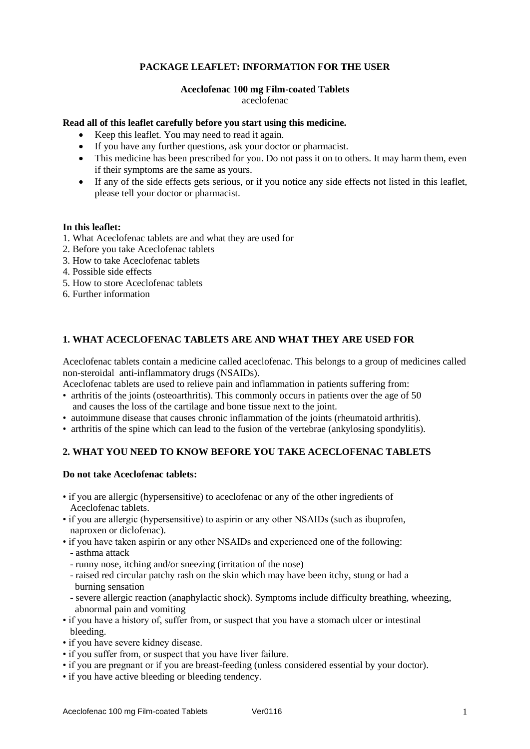# **PACKAGE LEAFLET: INFORMATION FOR THE USER**

#### **Aceclofenac 100 mg Film-coated Tablets** aceclofenac

## **Read all of this leaflet carefully before you start using this medicine.**

- Keep this leaflet. You may need to read it again.
- If you have any further questions, ask your doctor or pharmacist.
- This medicine has been prescribed for you. Do not pass it on to others. It may harm them, even if their symptoms are the same as yours.
- If any of the side effects gets serious, or if you notice any side effects not listed in this leaflet, please tell your doctor or pharmacist.

#### **In this leaflet:**

- 1. What Aceclofenac tablets are and what they are used for
- 2. Before you take Aceclofenac tablets
- 3. How to take Aceclofenac tablets
- 4. Possible side effects
- 5. How to store Aceclofenac tablets
- 6. Further information

## **1. WHAT ACECLOFENAC TABLETS ARE AND WHAT THEY ARE USED FOR**

Aceclofenac tablets contain a medicine called aceclofenac. This belongs to a group of medicines called non-steroidal anti-inflammatory drugs (NSAIDs).

Aceclofenac tablets are used to relieve pain and inflammation in patients suffering from:

- arthritis of the joints (osteoarthritis). This commonly occurs in patients over the age of 50 and causes the loss of the cartilage and bone tissue next to the joint.
- autoimmune disease that causes chronic inflammation of the joints (rheumatoid arthritis).
- arthritis of the spine which can lead to the fusion of the vertebrae (ankylosing spondylitis).

# **2. WHAT YOU NEED TO KNOW BEFORE YOU TAKE ACECLOFENAC TABLETS**

#### **Do not take Aceclofenac tablets:**

- if you are allergic (hypersensitive) to aceclofenac or any of the other ingredients of Aceclofenac tablets.
- if you are allergic (hypersensitive) to aspirin or any other NSAIDs (such as ibuprofen, naproxen or diclofenac).
- if you have taken aspirin or any other NSAIDs and experienced one of the following: - asthma attack
	- runny nose, itching and/or sneezing (irritation of the nose)
	- raised red circular patchy rash on the skin which may have been itchy, stung or had a burning sensation
	- severe allergic reaction (anaphylactic shock). Symptoms include difficulty breathing, wheezing, abnormal pain and vomiting
- if you have a history of, suffer from, or suspect that you have a stomach ulcer or intestinal bleeding.
- if you have severe kidney disease.
- if you suffer from, or suspect that you have liver failure.
- if you are pregnant or if you are breast-feeding (unless considered essential by your doctor).
- if you have active bleeding or bleeding tendency.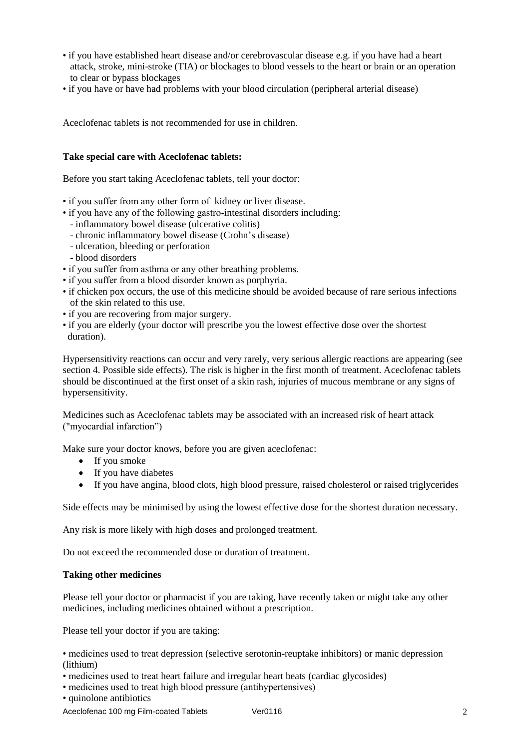- if you have established heart disease and/or cerebrovascular disease e.g. if you have had a heart attack, stroke, mini-stroke (TIA) or blockages to blood vessels to the heart or brain or an operation to clear or bypass blockages
- if you have or have had problems with your blood circulation (peripheral arterial disease)

Aceclofenac tablets is not recommended for use in children.

## **Take special care with Aceclofenac tablets:**

Before you start taking Aceclofenac tablets, tell your doctor:

- if you suffer from any other form of kidney or liver disease.
- if you have any of the following gastro-intestinal disorders including:
	- inflammatory bowel disease (ulcerative colitis)
	- chronic inflammatory bowel disease (Crohn's disease)
	- ulceration, bleeding or perforation
	- blood disorders
- if you suffer from asthma or any other breathing problems.
- if you suffer from a blood disorder known as porphyria.
- if chicken pox occurs, the use of this medicine should be avoided because of rare serious infections of the skin related to this use.
- if you are recovering from major surgery.
- if you are elderly (your doctor will prescribe you the lowest effective dose over the shortest duration).

Hypersensitivity reactions can occur and very rarely, very serious allergic reactions are appearing (see section 4. Possible side effects). The risk is higher in the first month of treatment. Aceclofenac tablets should be discontinued at the first onset of a skin rash, injuries of mucous membrane or any signs of hypersensitivity.

Medicines such as Aceclofenac tablets may be associated with an increased risk of heart attack ("myocardial infarction")

Make sure your doctor knows, before you are given aceclofenac:

- If you smoke
- If you have diabetes
- If you have angina, blood clots, high blood pressure, raised cholesterol or raised triglycerides

Side effects may be minimised by using the lowest effective dose for the shortest duration necessary.

Any risk is more likely with high doses and prolonged treatment.

Do not exceed the recommended dose or duration of treatment.

#### **Taking other medicines**

Please tell your doctor or pharmacist if you are taking, have recently taken or might take any other medicines, including medicines obtained without a prescription.

Please tell your doctor if you are taking:

• medicines used to treat depression (selective serotonin-reuptake inhibitors) or manic depression (lithium)

- medicines used to treat heart failure and irregular heart beats (cardiac glycosides)
- medicines used to treat high blood pressure (antihypertensives)
- quinolone antibiotics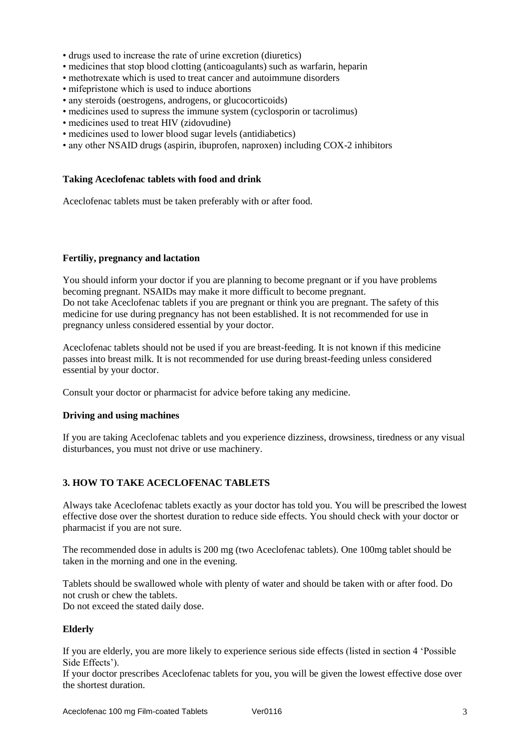- drugs used to increase the rate of urine excretion (diuretics)
- medicines that stop blood clotting (anticoagulants) such as warfarin, heparin
- methotrexate which is used to treat cancer and autoimmune disorders
- mifepristone which is used to induce abortions
- any steroids (oestrogens, androgens, or glucocorticoids)
- medicines used to supress the immune system (cyclosporin or tacrolimus)
- medicines used to treat HIV (zidovudine)
- medicines used to lower blood sugar levels (antidiabetics)
- any other NSAID drugs (aspirin, ibuprofen, naproxen) including COX-2 inhibitors

#### **Taking Aceclofenac tablets with food and drink**

Aceclofenac tablets must be taken preferably with or after food.

#### **Fertiliy, pregnancy and lactation**

You should inform your doctor if you are planning to become pregnant or if you have problems becoming pregnant. NSAIDs may make it more difficult to become pregnant. Do not take Aceclofenac tablets if you are pregnant or think you are pregnant. The safety of this medicine for use during pregnancy has not been established. It is not recommended for use in pregnancy unless considered essential by your doctor.

Aceclofenac tablets should not be used if you are breast-feeding. It is not known if this medicine passes into breast milk. It is not recommended for use during breast-feeding unless considered essential by your doctor.

Consult your doctor or pharmacist for advice before taking any medicine.

#### **Driving and using machines**

If you are taking Aceclofenac tablets and you experience dizziness, drowsiness, tiredness or any visual disturbances, you must not drive or use machinery.

## **3. HOW TO TAKE ACECLOFENAC TABLETS**

Always take Aceclofenac tablets exactly as your doctor has told you. You will be prescribed the lowest effective dose over the shortest duration to reduce side effects. You should check with your doctor or pharmacist if you are not sure.

The recommended dose in adults is 200 mg (two Aceclofenac tablets). One 100mg tablet should be taken in the morning and one in the evening.

Tablets should be swallowed whole with plenty of water and should be taken with or after food. Do not crush or chew the tablets. Do not exceed the stated daily dose.

#### **Elderly**

If you are elderly, you are more likely to experience serious side effects (listed in section 4 'Possible Side Effects').

If your doctor prescribes Aceclofenac tablets for you, you will be given the lowest effective dose over the shortest duration.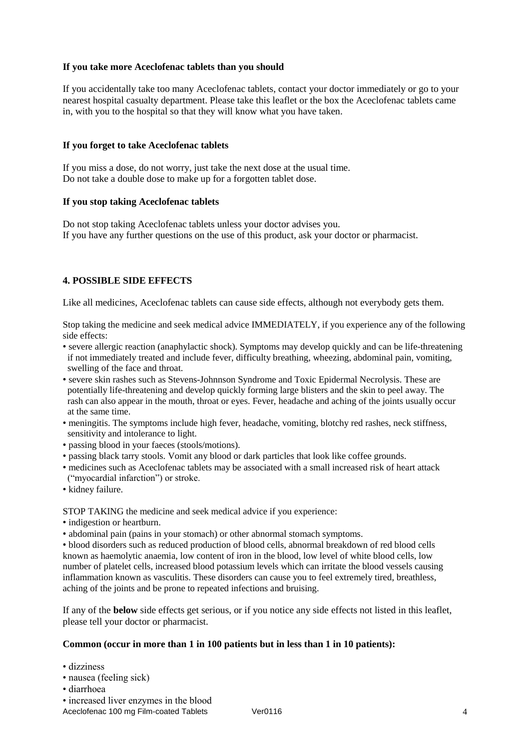## **If you take more Aceclofenac tablets than you should**

If you accidentally take too many Aceclofenac tablets, contact your doctor immediately or go to your nearest hospital casualty department. Please take this leaflet or the box the Aceclofenac tablets came in, with you to the hospital so that they will know what you have taken.

## **If you forget to take Aceclofenac tablets**

If you miss a dose, do not worry, just take the next dose at the usual time. Do not take a double dose to make up for a forgotten tablet dose.

## **If you stop taking Aceclofenac tablets**

Do not stop taking Aceclofenac tablets unless your doctor advises you. If you have any further questions on the use of this product, ask your doctor or pharmacist.

## **4. POSSIBLE SIDE EFFECTS**

Like all medicines, Aceclofenac tablets can cause side effects, although not everybody gets them.

Stop taking the medicine and seek medical advice IMMEDIATELY, if you experience any of the following side effects:

- severe allergic reaction (anaphylactic shock). Symptoms may develop quickly and can be life-threatening if not immediately treated and include fever, difficulty breathing, wheezing, abdominal pain, vomiting, swelling of the face and throat.
- severe skin rashes such as Stevens-Johnnson Syndrome and Toxic Epidermal Necrolysis. These are potentially life-threatening and develop quickly forming large blisters and the skin to peel away. The rash can also appear in the mouth, throat or eyes. Fever, headache and aching of the joints usually occur at the same time.
- meningitis. The symptoms include high fever, headache, vomiting, blotchy red rashes, neck stiffness, sensitivity and intolerance to light.
- passing blood in your faeces (stools/motions).
- passing black tarry stools. Vomit any blood or dark particles that look like coffee grounds.
- medicines such as Aceclofenac tablets may be associated with a small increased risk of heart attack ("myocardial infarction") or stroke.
- kidney failure.

STOP TAKING the medicine and seek medical advice if you experience:

- indigestion or heartburn.
- abdominal pain (pains in your stomach) or other abnormal stomach symptoms.

• blood disorders such as reduced production of blood cells, abnormal breakdown of red blood cells known as haemolytic anaemia, low content of iron in the blood, low level of white blood cells, low number of platelet cells, increased blood potassium levels which can irritate the blood vessels causing inflammation known as vasculitis. These disorders can cause you to feel extremely tired, breathless, aching of the joints and be prone to repeated infections and bruising.

If any of the **below** side effects get serious, or if you notice any side effects not listed in this leaflet, please tell your doctor or pharmacist.

#### **Common (occur in more than 1 in 100 patients but in less than 1 in 10 patients):**

- dizziness
- nausea (feeling sick)
- diarrhoea
- increased liver enzymes in the blood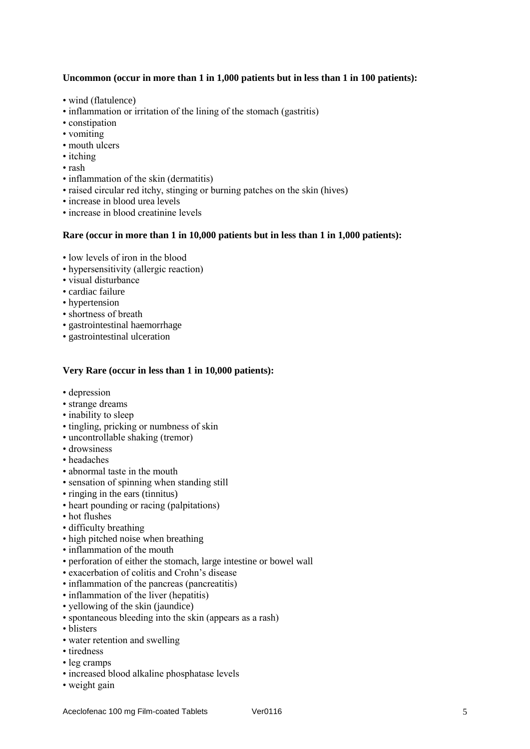## **Uncommon (occur in more than 1 in 1,000 patients but in less than 1 in 100 patients):**

- wind (flatulence)
- inflammation or irritation of the lining of the stomach (gastritis)
- constipation
- vomiting
- mouth ulcers
- itching
- rash
- inflammation of the skin (dermatitis)
- raised circular red itchy, stinging or burning patches on the skin (hives)
- increase in blood urea levels
- increase in blood creatinine levels

#### **Rare (occur in more than 1 in 10,000 patients but in less than 1 in 1,000 patients):**

- low levels of iron in the blood
- hypersensitivity (allergic reaction)
- visual disturbance
- cardiac failure
- hypertension
- shortness of breath
- gastrointestinal haemorrhage
- gastrointestinal ulceration

## **Very Rare (occur in less than 1 in 10,000 patients):**

- depression
- strange dreams
- inability to sleep
- tingling, pricking or numbness of skin
- uncontrollable shaking (tremor)
- drowsiness
- headaches
- abnormal taste in the mouth
- sensation of spinning when standing still
- ringing in the ears (tinnitus)
- heart pounding or racing (palpitations)
- hot flushes
- difficulty breathing
- high pitched noise when breathing
- inflammation of the mouth
- perforation of either the stomach, large intestine or bowel wall
- exacerbation of colitis and Crohn's disease
- inflammation of the pancreas (pancreatitis)
- inflammation of the liver (hepatitis)
- yellowing of the skin (jaundice)
- spontaneous bleeding into the skin (appears as a rash)
- blisters
- water retention and swelling
- tiredness
- leg cramps
- increased blood alkaline phosphatase levels
- weight gain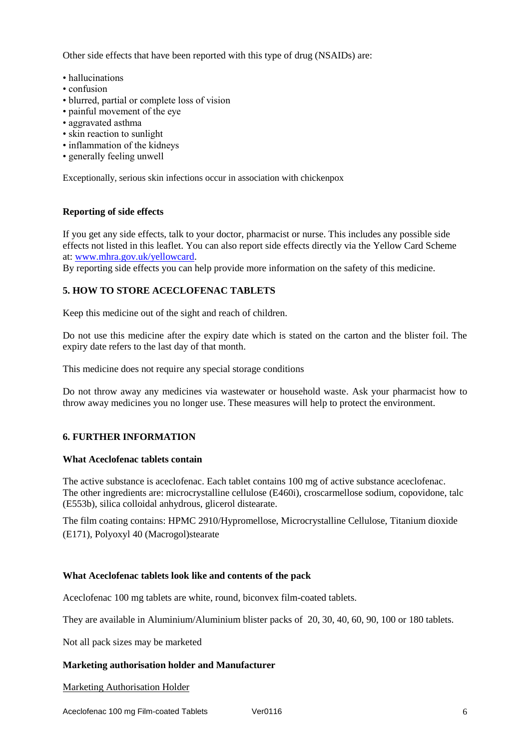Other side effects that have been reported with this type of drug (NSAIDs) are:

- hallucinations
- confusion
- blurred, partial or complete loss of vision
- painful movement of the eye
- aggravated asthma
- skin reaction to sunlight
- inflammation of the kidneys
- generally feeling unwell

Exceptionally, serious skin infections occur in association with chickenpox

### **Reporting of side effects**

If you get any side effects, talk to your doctor, pharmacist or nurse. This includes any possible side effects not listed in this leaflet. You can also report side effects directly via the Yellow Card Scheme at: [www.mhra.gov.uk/yellowcard.](http://www.mhra.gov.uk/yellowcard)

By reporting side effects you can help provide more information on the safety of this medicine.

# **5. HOW TO STORE ACECLOFENAC TABLETS**

Keep this medicine out of the sight and reach of children.

Do not use this medicine after the expiry date which is stated on the carton and the blister foil. The expiry date refers to the last day of that month.

This medicine does not require any special storage conditions

Do not throw away any medicines via wastewater or household waste. Ask your pharmacist how to throw away medicines you no longer use. These measures will help to protect the environment.

#### **6. FURTHER INFORMATION**

#### **What Aceclofenac tablets contain**

The active substance is aceclofenac. Each tablet contains 100 mg of active substance aceclofenac. The other ingredients are: microcrystalline cellulose (E460i), croscarmellose sodium, copovidone, talc (E553b), silica colloidal anhydrous, glicerol distearate.

The film coating contains: HPMC 2910/Hypromellose, Microcrystalline Cellulose, Titanium dioxide (E171), Polyoxyl 40 (Macrogol)stearate

## **What Aceclofenac tablets look like and contents of the pack**

Aceclofenac 100 mg tablets are white, round, biconvex film-coated tablets.

They are available in Aluminium/Aluminium blister packs of 20, 30, 40, 60, 90, 100 or 180 tablets.

Not all pack sizes may be marketed

#### **Marketing authorisation holder and Manufacturer**

Marketing Authorisation Holder